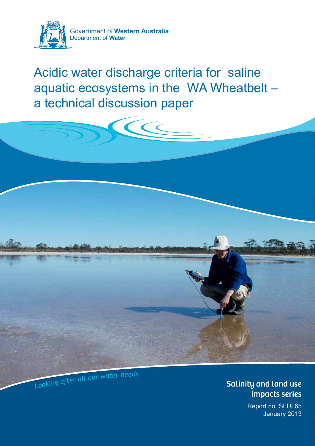

Government of **Western Australia** Department of **Water**

Acidic water discharge criteria for saline aquatic ecosystems in the WA Wheatbelt – a technical discussion paper



Looking after all our water needs

### Salinity and land use impacts series

Report no. SLUI 65 January 2013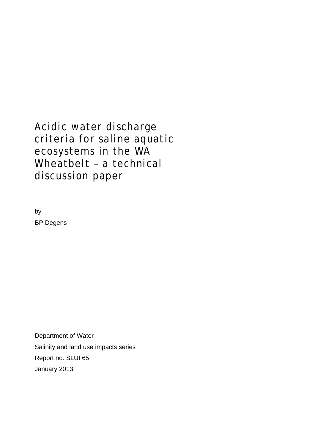## Acidic water discharge criteria for saline aquatic ecosystems in the WA Wheatbelt – a technical discussion paper

by BP Degens

Department of Water Salinity and land use impacts series Report no. SLUI 65 January 2013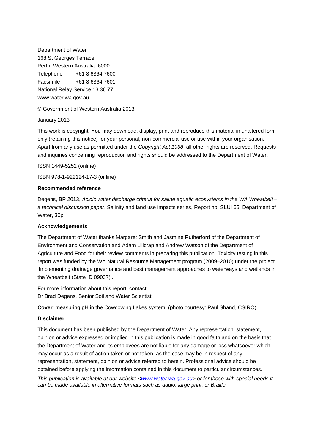Department of Water 168 St Georges Terrace Perth Western Australia 6000 Telephone +61 8 6364 7600 Facsimile +61 8 6364 7601 National Relay Service 13 36 77 www.water.wa.gov.au

© Government of Western Australia 2013

January 2013

This work is copyright. You may download, display, print and reproduce this material in unaltered form only (retaining this notice) for your personal, non-commercial use or use within your organisation. Apart from any use as permitted under the *Copyright Act 1968*, all other rights are reserved. Requests and inquiries concerning reproduction and rights should be addressed to the Department of Water.

ISSN 1449-5252 (online)

ISBN 978-1-922124-17-3 (online)

#### **Recommended reference**

Degens, BP 2013, *Acidic water discharge criteria for saline aquatic ecosystems in the WA Wheatbelt – a technical discussion paper*, Salinity and land use impacts series, Report no. SLUI 65, Department of Water, 30p.

#### **Acknowledgements**

The Department of Water thanks Margaret Smith and Jasmine Rutherford of the Department of Environment and Conservation and Adam Lillcrap and Andrew Watson of the Department of Agriculture and Food for their review comments in preparing this publication. Toxicity testing in this report was funded by the WA Natural Resource Management program (2009–2010) under the project 'Implementing drainage governance and best management approaches to waterways and wetlands in the Wheatbelt (State ID 09037)'.

For more information about this report, contact Dr Brad Degens, Senior Soil and Water Scientist.

**Cover**: measuring pH in the Cowcowing Lakes system, (photo courtesy: Paul Shand, CSIRO)

#### **Disclaimer**

This document has been published by the Department of Water. Any representation, statement, opinion or advice expressed or implied in this publication is made in good faith and on the basis that the Department of Water and its employees are not liable for any damage or loss whatsoever which may occur as a result of action taken or not taken, as the case may be in respect of any representation, statement, opinion or advice referred to herein. Professional advice should be obtained before applying the information contained in this document to particular circumstances.

*This publication is available at our website <www.water.wa.gov.au> or for those with special needs it can be made available in alternative formats such as audio, large print, or Braille.*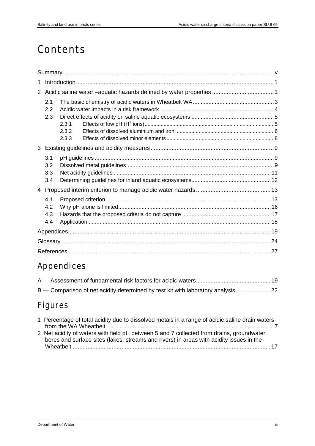# Contents

| 1                     |                          |                         |  |  |  |
|-----------------------|--------------------------|-------------------------|--|--|--|
| $\mathbf{2}^{\prime}$ |                          |                         |  |  |  |
|                       | 2.1<br>2.2<br>2.3        | 2.3.1<br>2.3.2<br>2.3.3 |  |  |  |
| 3                     |                          |                         |  |  |  |
|                       | 3.1<br>3.2<br>3.3<br>3.4 |                         |  |  |  |
| 4                     |                          |                         |  |  |  |
|                       | 4.1<br>4.2<br>4.3<br>4.4 |                         |  |  |  |
|                       |                          |                         |  |  |  |
|                       |                          |                         |  |  |  |
|                       |                          |                         |  |  |  |

## Appendices

| B — Comparison of net acidity determined by test kit with laboratory analysis  22 |  |
|-----------------------------------------------------------------------------------|--|

## Figures

| 1 Percentage of total acidity due to dissolved metals in a range of acidic saline drain waters                                                                                      |  |
|-------------------------------------------------------------------------------------------------------------------------------------------------------------------------------------|--|
|                                                                                                                                                                                     |  |
| 2 Net acidity of waters with field pH between 5 and 7 collected from drains, groundwater<br>bores and surface sites (lakes, streams and rivers) in areas with acidity issues in the |  |
|                                                                                                                                                                                     |  |
|                                                                                                                                                                                     |  |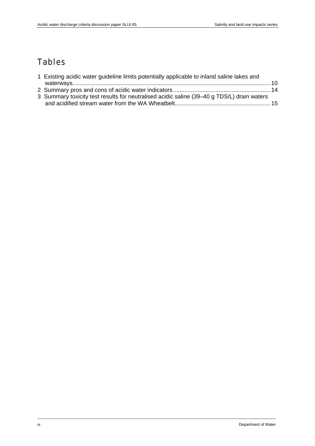## Tables

| 1 Existing acidic water guideline limits potentially applicable to inland saline lakes and |  |
|--------------------------------------------------------------------------------------------|--|
|                                                                                            |  |
|                                                                                            |  |
| 3 Summary toxicity test results for neutralised acidic saline (39-40 g TDS/L) drain waters |  |
|                                                                                            |  |

\_\_\_\_\_\_\_\_\_\_\_\_\_\_\_\_\_\_\_\_\_\_\_\_\_\_\_\_\_\_\_\_\_\_\_\_\_\_\_\_\_\_\_\_\_\_\_\_\_\_\_\_\_\_\_\_\_\_\_\_\_\_\_\_\_\_\_\_\_\_\_\_\_\_\_\_\_\_\_\_\_\_\_\_\_\_\_\_\_\_\_\_\_\_\_\_\_\_\_\_\_\_\_\_\_\_\_\_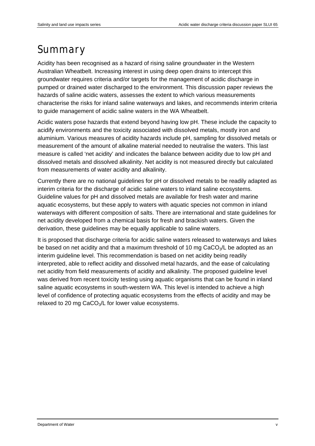# Summary

Acidity has been recognised as a hazard of rising saline groundwater in the Western Australian Wheatbelt. Increasing interest in using deep open drains to intercept this groundwater requires criteria and/or targets for the management of acidic discharge in pumped or drained water discharged to the environment. This discussion paper reviews the hazards of saline acidic waters, assesses the extent to which various measurements characterise the risks for inland saline waterways and lakes, and recommends interim criteria to guide management of acidic saline waters in the WA Wheatbelt.

Acidic waters pose hazards that extend beyond having low pH. These include the capacity to acidify environments and the toxicity associated with dissolved metals, mostly iron and aluminium. Various measures of acidity hazards include pH, sampling for dissolved metals or measurement of the amount of alkaline material needed to neutralise the waters. This last measure is called 'net acidity' and indicates the balance between acidity due to low pH and dissolved metals and dissolved alkalinity. Net acidity is not measured directly but calculated from measurements of water acidity and alkalinity.

Currently there are no national guidelines for pH or dissolved metals to be readily adapted as interim criteria for the discharge of acidic saline waters to inland saline ecosystems. Guideline values for pH and dissolved metals are available for fresh water and marine aquatic ecosystems, but these apply to waters with aquatic species not common in inland waterways with different composition of salts. There are international and state guidelines for net acidity developed from a chemical basis for fresh and brackish waters. Given the derivation, these guidelines may be equally applicable to saline waters.

It is proposed that discharge criteria for acidic saline waters released to waterways and lakes be based on net acidity and that a maximum threshold of 10 mg  $CaCO<sub>3</sub>/L$  be adopted as an interim guideline level. This recommendation is based on net acidity being readily interpreted, able to reflect acidity and dissolved metal hazards, and the ease of calculating net acidity from field measurements of acidity and alkalinity. The proposed guideline level was derived from recent toxicity testing using aquatic organisms that can be found in inland saline aquatic ecosystems in south-western WA. This level is intended to achieve a high level of confidence of protecting aquatic ecosystems from the effects of acidity and may be relaxed to 20 mg  $CaCO<sub>3</sub>/L$  for lower value ecosystems.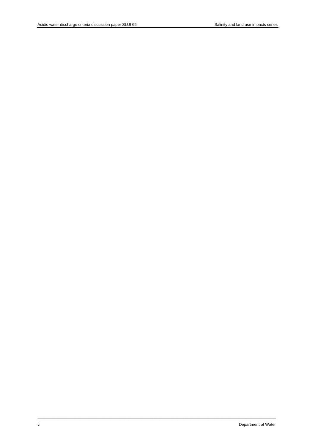\_\_\_\_\_\_\_\_\_\_\_\_\_\_\_\_\_\_\_\_\_\_\_\_\_\_\_\_\_\_\_\_\_\_\_\_\_\_\_\_\_\_\_\_\_\_\_\_\_\_\_\_\_\_\_\_\_\_\_\_\_\_\_\_\_\_\_\_\_\_\_\_\_\_\_\_\_\_\_\_\_\_\_\_\_\_\_\_\_\_\_\_\_\_\_\_\_\_\_\_\_\_\_\_\_\_\_\_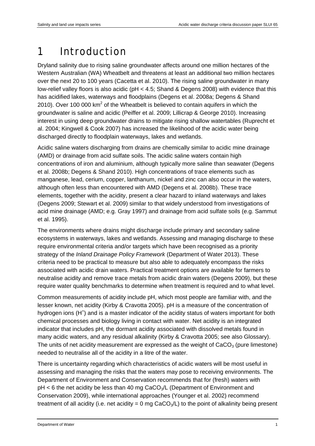# 1 Introduction

Dryland salinity due to rising saline groundwater affects around one million hectares of the Western Australian (WA) Wheatbelt and threatens at least an additional two million hectares over the next 20 to 100 years (Cacetta et al. 2010). The rising saline groundwater in many low-relief valley floors is also acidic (pH < 4.5; Shand & Degens 2008) with evidence that this has acidified lakes, waterways and floodplains (Degens et al. 2008a; Degens & Shand 2010). Over 100 000 km<sup>2</sup> of the Wheatbelt is believed to contain aquifers in which the groundwater is saline and acidic (Peiffer et al. 2009; Lillicrap & George 2010). Increasing interest in using deep groundwater drains to mitigate rising shallow watertables (Ruprecht et al. 2004; Kingwell & Cook 2007) has increased the likelihood of the acidic water being discharged directly to floodplain waterways, lakes and wetlands.

Acidic saline waters discharging from drains are chemically similar to acidic mine drainage (AMD) or drainage from acid sulfate soils. The acidic saline waters contain high concentrations of iron and aluminium, although typically more saline than seawater (Degens et al. 2008b; Degens & Shand 2010). High concentrations of trace elements such as manganese, lead, cerium, copper, lanthanum, nickel and zinc can also occur in the waters, although often less than encountered with AMD (Degens et al. 2008b). These trace elements, together with the acidity, present a clear hazard to inland waterways and lakes (Degens 2009; Stewart et al. 2009) similar to that widely understood from investigations of acid mine drainage (AMD; e.g. Gray 1997) and drainage from acid sulfate soils (e.g. Sammut et al. 1995).

The environments where drains might discharge include primary and secondary saline ecosystems in waterways, lakes and wetlands. Assessing and managing discharge to these require environmental criteria and/or targets which have been recognised as a priority strategy of the *Inland Drainage Policy Framework* (Department of Water 2013). These criteria need to be practical to measure but also able to adequately encompass the risks associated with acidic drain waters. Practical treatment options are available for farmers to neutralise acidity and remove trace metals from acidic drain waters (Degens 2009), but these require water quality benchmarks to determine when treatment is required and to what level.

Common measurements of acidity include pH, which most people are familiar with, and the lesser known, net acidity (Kirby & Cravotta 2005). pH is a measure of the concentration of hydrogen ions (H<sup>+</sup>) and is a master indicator of the acidity status of waters important for both chemical processes and biology living in contact with water. Net acidity is an integrated indicator that includes pH, the dormant acidity associated with dissolved metals found in many acidic waters, and any residual alkalinity (Kirby & Cravotta 2005; see also Glossary). The units of net acidity measurement are expressed as the weight of  $CaCO<sub>3</sub>$  (pure limestone) needed to neutralise all of the acidity in a litre of the water.

There is uncertainty regarding which characteristics of acidic waters will be most useful in assessing and managing the risks that the waters may pose to receiving environments. The Department of Environment and Conservation recommends that for (fresh) waters with  $pH < 6$  the net acidity be less than 40 mg CaCO $\sqrt{L}$  (Department of Environment and Conservation 2009), while international approaches (Younger et al. 2002) recommend treatment of all acidity (i.e. net acidity = 0 mg  $CaCO<sub>3</sub>/L$ ) to the point of alkalinity being present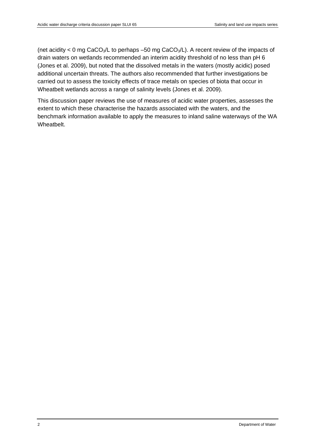(net acidity < 0 mg CaCO<sub>3</sub>/L to perhaps –50 mg CaCO<sub>3</sub>/L). A recent review of the impacts of drain waters on wetlands recommended an interim acidity threshold of no less than pH 6 (Jones et al. 2009), but noted that the dissolved metals in the waters (mostly acidic) posed additional uncertain threats. The authors also recommended that further investigations be carried out to assess the toxicity effects of trace metals on species of biota that occur in Wheatbelt wetlands across a range of salinity levels (Jones et al. 2009).

This discussion paper reviews the use of measures of acidic water properties, assesses the extent to which these characterise the hazards associated with the waters, and the benchmark information available to apply the measures to inland saline waterways of the WA Wheatbelt.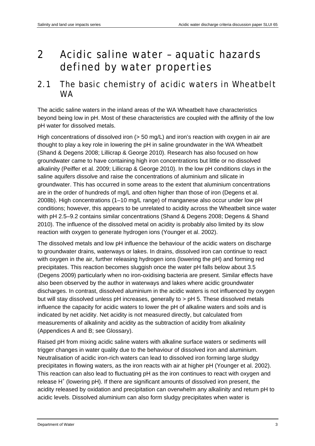## 2 Acidic saline water – aquatic hazards defined by water properties

### 2.1 The basic chemistry of acidic waters in Wheatbelt WA

The acidic saline waters in the inland areas of the WA Wheatbelt have characteristics beyond being low in pH. Most of these characteristics are coupled with the affinity of the low pH water for dissolved metals.

High concentrations of dissolved iron ( $>$  50 mg/L) and iron's reaction with oxygen in air are thought to play a key role in lowering the pH in saline groundwater in the WA Wheatbelt (Shand & Degens 2008; Lillicrap & George 2010). Research has also focused on how groundwater came to have containing high iron concentrations but little or no dissolved alkalinity (Peiffer et al. 2009; Lillicrap & George 2010). In the low pH conditions clays in the saline aquifers dissolve and raise the concentrations of aluminium and silicate in groundwater. This has occurred in some areas to the extent that aluminium concentrations are in the order of hundreds of mg/L and often higher than those of iron (Degens et al. 2008b). High concentrations (1–10 mg/L range) of manganese also occur under low pH conditions; however, this appears to be unrelated to acidity across the Wheatbelt since water with pH 2.5–9.2 contains similar concentrations (Shand & Degens 2008; Degens & Shand 2010). The influence of the dissolved metal on acidity is probably also limited by its slow reaction with oxygen to generate hydrogen ions (Younger et al. 2002).

The dissolved metals and low pH influence the behaviour of the acidic waters on discharge to groundwater drains, waterways or lakes. In drains, dissolved iron can continue to react with oxygen in the air, further releasing hydrogen ions (lowering the pH) and forming red precipitates. This reaction becomes sluggish once the water pH falls below about 3.5 (Degens 2009) particularly when no iron-oxidising bacteria are present. Similar effects have also been observed by the author in waterways and lakes where acidic groundwater discharges. In contrast, dissolved aluminium in the acidic waters is not influenced by oxygen but will stay dissolved unless pH increases, generally to > pH 5. These dissolved metals influence the capacity for acidic waters to lower the pH of alkaline waters and soils and is indicated by net acidity. Net acidity is not measured directly, but calculated from measurements of alkalinity and acidity as the subtraction of acidity from alkalinity (Appendices A and B; see Glossary).

Raised pH from mixing acidic saline waters with alkaline surface waters or sediments will trigger changes in water quality due to the behaviour of dissolved iron and aluminium. Neutralisation of acidic iron-rich waters can lead to dissolved iron forming large sludgy precipitates in flowing waters, as the iron reacts with air at higher pH (Younger et al. 2002). This reaction can also lead to fluctuating pH as the iron continues to react with oxygen and release H<sup>+</sup> (lowering pH). If there are significant amounts of dissolved iron present, the acidity released by oxidation and precipitation can overwhelm any alkalinity and return pH to acidic levels. Dissolved aluminium can also form sludgy precipitates when water is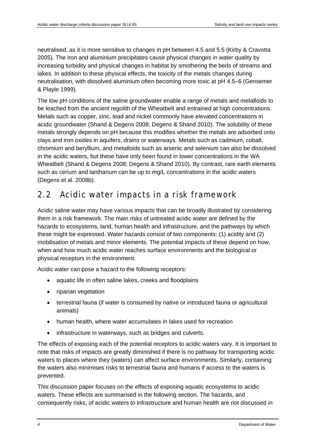neutralised, as it is more sensitive to changes in pH between 4.5 and 5.5 (Kirby & Cravotta 2005). The iron and aluminium precipitates cause physical changes in water quality by increasing turbidity and physical changes in habitat by smothering the beds of streams and lakes. In addition to these physical effects, the toxicity of the metals changes during neutralisation, with dissolved aluminium often becoming more toxic at pH 4.5–6 (Gensemer & Playle 1999).

The low pH conditions of the saline groundwater enable a range of metals and metalloids to be leached from the ancient regolith of the Wheatbelt and entrained at high concentrations. Metals such as copper, zinc, lead and nickel commonly have elevated concentrations in acidic groundwater (Shand & Degens 2008; Degens & Shand 2010). The solubility of these metals strongly depends on pH because this modifies whether the metals are adsorbed onto clays and iron oxides in aquifers, drains or waterways. Metals such as cadmium, cobalt, chromium and beryllium, and metalloids such as arsenic and selenium can also be dissolved in the acidic waters, but these have only been found in lower concentrations in the WA Wheatbelt (Shand & Degens 2008; Degens & Shand 2010). By contrast, rare earth elements such as cerium and lanthanum can be up to mg/L concentrations in the acidic waters (Degens et al. 2008b).

### 2.2 Acidic water impacts in a risk framework

Acidic saline water may have various impacts that can be broadly illustrated by considering them in a risk framework. The main risks of untreated acidic water are defined by the hazards to ecosystems, land, human health and infrastructure, and the pathways by which these might be expressed. Water hazards consist of two components: (1) acidity and (2) mobilisation of metals and minor elements. The potential impacts of these depend on how, when and how much acidic water reaches surface environments and the biological or physical receptors in the environment.

Acidic water can pose a hazard to the following receptors:

- aquatic life in often saline lakes, creeks and floodplains
- riparian vegetation
- terrestrial fauna (if water is consumed by native or introduced fauna or agricultural animals)
- human health, where water accumulates in lakes used for recreation
- infrastructure in waterways, such as bridges and culverts.

The effects of exposing each of the potential receptors to acidic waters vary. It is important to note that risks of impacts are greatly diminished if there is no pathway for transporting acidic waters to places where they (waters) can affect surface environments. Similarly, containing the waters also minimises risks to terrestrial fauna and humans if access to the waters is prevented.

This discussion paper focuses on the effects of exposing aquatic ecosystems to acidic waters. These effects are summarised in the following section. The hazards, and consequently risks, of acidic waters to infrastructure and human health are not discussed in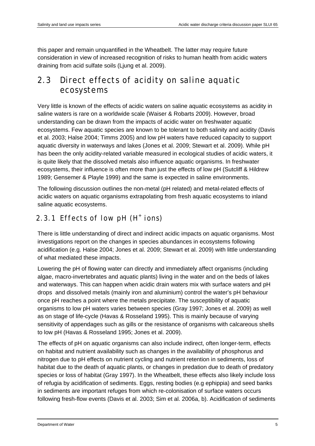this paper and remain unquantified in the Wheatbelt. The latter may require future consideration in view of increased recognition of risks to human health from acidic waters draining from acid sulfate soils (Ljung et al. 2009).

### 2.3 Direct effects of acidity on saline aquatic ecosystems

Very little is known of the effects of acidic waters on saline aquatic ecosystems as acidity in saline waters is rare on a worldwide scale (Waiser & Robarts 2009). However, broad understanding can be drawn from the impacts of acidic water on freshwater aquatic ecosystems. Few aquatic species are known to be tolerant to both salinity and acidity (Davis et al. 2003; Halse 2004; Timms 2005) and low pH waters have reduced capacity to support aquatic diversity in waterways and lakes (Jones et al. 2009; Stewart et al. 2009). While pH has been the only acidity-related variable measured in ecological studies of acidic waters, it is quite likely that the dissolved metals also influence aquatic organisms. In freshwater ecosystems, their influence is often more than just the effects of low pH (Sutcliff & Hildrew 1989; Gensemer & Playle 1999) and the same is expected in saline environments.

The following discussion outlines the non-metal (pH related) and metal-related effects of acidic waters on aquatic organisms extrapolating from fresh aquatic ecosystems to inland saline aquatic ecosystems.

### *2.3.1 Effects of low pH (H<sup>+</sup> ions)*

There is little understanding of direct and indirect acidic impacts on aquatic organisms. Most investigations report on the changes in species abundances in ecosystems following acidification (e.g. Halse 2004; Jones et al. 2009; Stewart et al. 2009) with little understanding of what mediated these impacts.

Lowering the pH of flowing water can directly and immediately affect organisms (including algae, macro-invertebrates and aquatic plants) living in the water and on the beds of lakes and waterways. This can happen when acidic drain waters mix with surface waters and pH drops and dissolved metals (mainly iron and aluminium) control the water's pH behaviour once pH reaches a point where the metals precipitate. The susceptibility of aquatic organisms to low pH waters varies between species (Gray 1997; Jones et al. 2009) as well as on stage of life-cycle (Havas & Rosseland 1995). This is mainly because of varying sensitivity of appendages such as gills or the resistance of organisms with calcareous shells to low pH (Havas & Rosseland 1995; Jones et al. 2009).

The effects of pH on aquatic organisms can also include indirect, often longer-term, effects on habitat and nutrient availability such as changes in the availability of phosphorus and nitrogen due to pH effects on nutrient cycling and nutrient retention in sediments, loss of habitat due to the death of aquatic plants, or changes in predation due to death of predatory species or loss of habitat (Gray 1997). In the Wheatbelt, these effects also likely include loss of refugia by acidification of sediments. Eggs, resting bodies (e.g ephippia) and seed banks in sediments are important refuges from which re-colonisation of surface waters occurs following fresh-flow events (Davis et al. 2003; Sim et al. 2006a, b). Acidification of sediments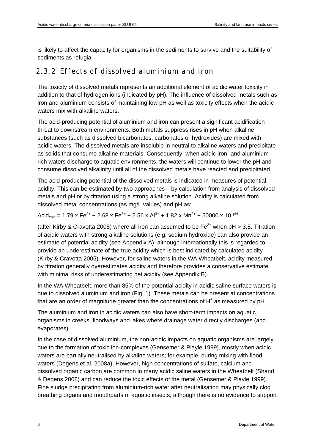is likely to affect the capacity for organisms in the sediments to survive and the suitability of sediments as refugia.

### *2.3.2 Effects of dissolved aluminium and iron*

The toxicity of dissolved metals represents an additional element of acidic water toxicity in addition to that of hydrogen ions (indicated by pH). The influence of dissolved metals such as iron and aluminium consists of maintaining low pH as well as toxicity effects when the acidic waters mix with alkaline waters.

The acid-producing potential of aluminium and iron can present a significant acidification threat to downstream environments. Both metals suppress rises in pH when alkaline substances (such as dissolved bicarbonates, carbonates or hydroxides) are mixed with acidic waters. The dissolved metals are insoluble in neutral to alkaline waters and precipitate as solids that consume alkaline materials. Consequently, when acidic iron- and aluminiumrich waters discharge to aquatic environments, the waters will continue to lower the pH and consume dissolved alkalinity until all of the dissolved metals have reacted and precipitated.

The acid-producing potential of the dissolved metals is indicated in measures of potential acidity. This can be estimated by two approaches – by calculation from analysis of dissolved metals and pH or by titration using a strong alkaline solution. Acidity is calculated from dissolved metal concentrations (as mg/L values) and pH as:

Acid<sub>calc</sub> = 1.79 x Fe<sup>2+</sup> + 2.68 x Fe<sup>3+</sup> + 5.56 x Al<sup>3+</sup> + 1.82 x Mn<sup>2+</sup> + 50000 x 10<sup>-pH</sup>

(after Kirby & Cravotta 2005) where all iron can assumed to be  $Fe^{2+}$  when pH > 3.5. Titration of acidic waters with strong alkaline solutions (e.g. sodium hydroxide) can also provide an estimate of potential acidity (see Appendix A), although internationally this is regarded to provide an underestimate of the true acidity which is best indicated by calculated acidity (Kirby & Cravotta 2005). However, for saline waters in the WA Wheatbelt, acidity measured by titration generally overestimates acidity and therefore provides a conservative estimate with minimal risks of underestimating net acidity (see Appendix B).

In the WA Wheatbelt, more than 85% of the potential acidity in acidic saline surface waters is due to dissolved aluminium and iron (Fig. 1). These metals can be present at concentrations that are an order of magnitude greater than the concentrations of  $H^*$  as measured by pH.

The aluminium and iron in acidic waters can also have short-term impacts on aquatic organisms in creeks, floodways and lakes where drainage water directly discharges (and evaporates).

In the case of dissolved aluminium, the non-acidic impacts on aquatic organisms are largely due to the formation of toxic ion-complexes (Gensemer & Playle 1999), mostly when acidic waters are partially neutralised by alkaline waters; for example, during mixing with flood waters (Degens et al. 2008a). However, high concentrations of sulfate, calcium and dissolved organic carbon are common in many acidic saline waters in the Wheatbelt (Shand & Degens 2008) and can reduce the toxic effects of the metal (Gensemer & Playle 1999). Fine sludge precipitating from aluminium-rich water after neutralisation may physically clog breathing organs and mouthparts of aquatic insects, although there is no evidence to support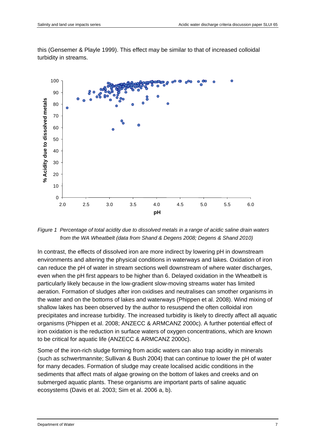this (Gensemer & Playle 1999). This effect may be similar to that of increased colloidal turbidity in streams.



*Figure 1 Percentage of total acidity due to dissolved metals in a range of acidic saline drain waters*  from the WA Wheatbelt (data from Shand & Degens 2008; Degens & Shand 2010)

In contrast, the effects of dissolved iron are more indirect by lowering pH in downstream environments and altering the physical conditions in waterways and lakes. Oxidation of iron can reduce the pH of water in stream sections well downstream of where water discharges, even when the pH first appears to be higher than 6. Delayed oxidation in the Wheatbelt is particularly likely because in the low-gradient slow-moving streams water has limited aeration. Formation of sludges after iron oxidises and neutralises can smother organisms in the water and on the bottoms of lakes and waterways (Phippen et al. 2008). Wind mixing of shallow lakes has been observed by the author to resuspend the often colloidal iron precipitates and increase turbidity. The increased turbidity is likely to directly affect all aquatic organisms (Phippen et al. 2008; ANZECC & ARMCANZ 2000c). A further potential effect of iron oxidation is the reduction in surface waters of oxygen concentrations, which are known to be critical for aquatic life (ANZECC & ARMCANZ 2000c).

Some of the iron-rich sludge forming from acidic waters can also trap acidity in minerals (such as schwertmannite; Sullivan & Bush 2004) that can continue to lower the pH of water for many decades. Formation of sludge may create localised acidic conditions in the sediments that affect mats of algae growing on the bottom of lakes and creeks and on submerged aquatic plants. These organisms are important parts of saline aquatic ecosystems (Davis et al. 2003; Sim et al. 2006 a, b).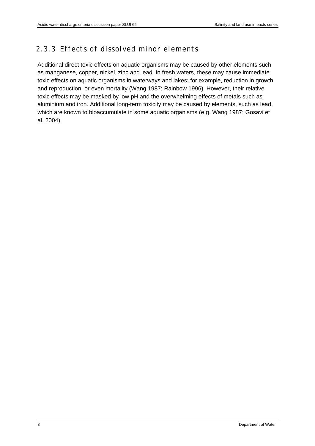### *2.3.3 Effects of dissolved minor elements*

Additional direct toxic effects on aquatic organisms may be caused by other elements such as manganese, copper, nickel, zinc and lead. In fresh waters, these may cause immediate toxic effects on aquatic organisms in waterways and lakes; for example, reduction in growth and reproduction, or even mortality (Wang 1987; Rainbow 1996). However, their relative toxic effects may be masked by low pH and the overwhelming effects of metals such as aluminium and iron. Additional long-term toxicity may be caused by elements, such as lead, which are known to bioaccumulate in some aquatic organisms (e.g. Wang 1987; Gosavi et al. 2004).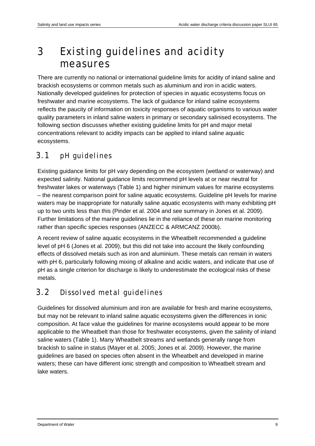## 3 Existing guidelines and acidity measures

There are currently no national or international guideline limits for acidity of inland saline and brackish ecosystems or common metals such as aluminium and iron in acidic waters. Nationally developed guidelines for protection of species in aquatic ecosystems focus on freshwater and marine ecosystems. The lack of guidance for inland saline ecosystems reflects the paucity of information on toxicity responses of aquatic organisms to various water quality parameters in inland saline waters in primary or secondary salinised ecosystems. The following section discusses whether existing guideline limits for pH and major metal concentrations relevant to acidity impacts can be applied to inland saline aquatic ecosystems.

### *3.1 pH guidelines*

Existing guidance limits for pH vary depending on the ecosystem (wetland or waterway) and expected salinity. National guidance limits recommend pH levels at or near neutral for freshwater lakes or waterways (Table 1) and higher minimum values for marine ecosystems – the nearest comparison point for saline aquatic ecosystems. Guideline pH levels for marine waters may be inappropriate for naturally saline aquatic ecosystems with many exhibiting pH up to two units less than this (Pinder et al. 2004 and see summary in Jones et al. 2009). Further limitations of the marine guidelines lie in the reliance of these on marine monitoring rather than specific species responses (ANZECC & ARMCANZ 2000b).

A recent review of saline aquatic ecosystems in the Wheatbelt recommended a guideline level of pH 6 (Jones et al. 2009), but this did not take into account the likely confounding effects of dissolved metals such as iron and aluminium. These metals can remain in waters with pH 6, particularly following mixing of alkaline and acidic waters, and indicate that use of pH as a single criterion for discharge is likely to underestimate the ecological risks of these metals.

### *3.2 Dissolved metal guidelines*

Guidelines for dissolved aluminium and iron are available for fresh and marine ecosystems, but may not be relevant to inland saline aquatic ecosystems given the differences in ionic composition. At face value the guidelines for marine ecosystems would appear to be more applicable to the Wheatbelt than those for freshwater ecosystems, given the salinity of inland saline waters (Table 1). Many Wheatbelt streams and wetlands generally range from brackish to saline in status (Mayer et al. 2005; Jones et al. 2009). However, the marine guidelines are based on species often absent in the Wheatbelt and developed in marine waters; these can have different ionic strength and composition to Wheatbelt stream and lake waters.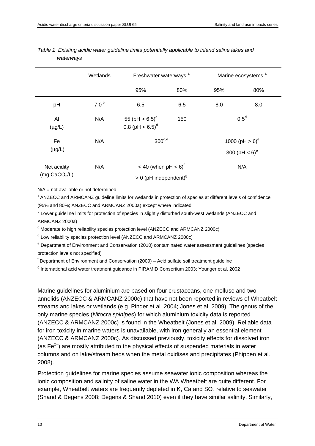|                                | Wetlands         | Freshwater waterways <sup>a</sup>                                          |     | Marine ecosystems <sup>a</sup> |                                                                |
|--------------------------------|------------------|----------------------------------------------------------------------------|-----|--------------------------------|----------------------------------------------------------------|
|                                |                  | 95%                                                                        | 80% | 95%                            | 80%                                                            |
| pH                             | 7.0 <sup>b</sup> | 6.5                                                                        | 6.5 | 8.0                            | 8.0                                                            |
| Al<br>$(\mu g/L)$              | N/A              | 55 (pH $> 6.5$ ) <sup>c</sup><br>0.8 (pH $<$ 6.5) <sup>d</sup>             | 150 |                                | $0.5^d$                                                        |
| Fe<br>$(\mu g/L)$              | N/A              | $300^{\text{d},\text{e}}$                                                  |     |                                | 1000 (pH $> 6$ ) <sup>e</sup><br>300 ( $pH < 6$ ) <sup>e</sup> |
| Net acidity<br>(mg $CaCO3/L$ ) | N/A              | $<$ 40 (when pH $<$ 6) <sup>f</sup><br>$> 0$ (pH independent) <sup>9</sup> |     |                                | N/A                                                            |

#### *Table 1 Existing acidic water guideline limits potentially applicable to inland saline lakes and waterways*

N/A = not available or not determined

<sup>a</sup> ANZECC and ARMCANZ guideline limits for wetlands in protection of species at different levels of confidence (95% and 80%; ANZECC and ARMCANZ 2000a) except where indicated

<sup>b</sup> Lower guideline limits for protection of species in slightly disturbed south-west wetlands (ANZECC and ARMCANZ 2000a)

 $\textdegree$  Moderate to high reliability species protection level (ANZECC and ARMCANZ 2000c)

<sup>d</sup> Low reliability species protection level (ANZECC and ARMCANZ 2000c)

<sup>e</sup> Department of Environment and Conservation (2010) contaminated water assessment guidelines (species protection levels not specified)

<sup>f</sup> Department of Environment and Conservation (2009) – Acid sulfate soil treatment guideline

<sup>g</sup> International acid water treatment guidance in PIRAMID Consortium 2003; Younger et al. 2002

Marine guidelines for aluminium are based on four crustaceans, one mollusc and two annelids (ANZECC & ARMCANZ 2000c) that have not been reported in reviews of Wheatbelt streams and lakes or wetlands (e.g. Pinder et al. 2004; Jones et al. 2009). The genus of the only marine species (*Nitocra spinipes*) for which aluminium toxicity data is reported (ANZECC & ARMCANZ 2000c) is found in the Wheatbelt (Jones et al. 2009). Reliable data for iron toxicity in marine waters is unavailable, with iron generally an essential element (ANZECC & ARMCANZ 2000c). As discussed previously, toxicity effects for dissolved iron (as  $Fe<sup>2+</sup>$ ) are mostly attributed to the physical effects of suspended materials in water columns and on lake/stream beds when the metal oxidises and precipitates (Phippen et al. 2008).

Protection guidelines for marine species assume seawater ionic composition whereas the ionic composition and salinity of saline water in the WA Wheatbelt are quite different. For example, Wheatbelt waters are frequently depleted in K, Ca and  $SO<sub>4</sub>$  relative to seawater (Shand & Degens 2008; Degens & Shand 2010) even if they have similar salinity. Similarly,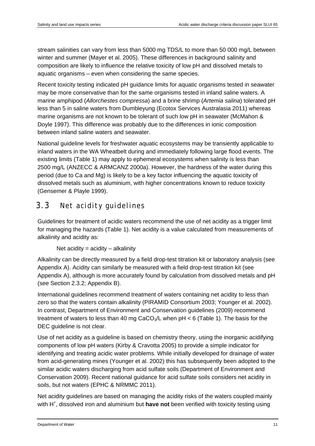stream salinities can vary from less than 5000 mg TDS/L to more than 50 000 mg/L between winter and summer (Mayer et al. 2005). These differences in background salinity and composition are likely to influence the relative toxicity of low pH and dissolved metals to aquatic organisms – even when considering the same species.

Recent toxicity testing indicated pH guidance limits for aquatic organisms tested in seawater may be more conservative than for the same organisms tested in inland saline waters. A marine amphipod (*Allorchestes compressa*) and a brine shrimp (*Artemia salina*) tolerated pH less than 5 in saline waters from Dumbleyung (Ecotox Services Australasia 2011) whereas marine organisms are not known to be tolerant of such low pH in seawater (McMahon & Doyle 1997). This difference was probably due to the differences in ionic composition between inland saline waters and seawater.

National guideline levels for freshwater aquatic ecosystems may be transiently applicable to inland waters in the WA Wheatbelt during and immediately following large flood events. The existing limits (Table 1) may apply to ephemeral ecosystems when salinity is less than 2500 mg/L (ANZECC & ARMCANZ 2000a). However, the hardness of the water during this period (due to Ca and Mg) is likely to be a key factor influencing the aquatic toxicity of dissolved metals such as aluminium, with higher concentrations known to reduce toxicity (Gensemer & Playle 1999).

### *3.3 Net acidity guidelines*

Guidelines for treatment of acidic waters recommend the use of net acidity as a trigger limit for managing the hazards (Table 1). Net acidity is a value calculated from measurements of alkalinity and acidity as:

$$
Net\,\equiv\,\,; =
$$

Alkalinity can be directly measured by a field drop-test titration kit or laboratory analysis (see Appendix A). Acidity can similarly be measured with a field drop-test titration kit (see Appendix A), although is more accurately found by calculation from dissolved metals and pH (see Section 2.3.2; Appendix B).

International guidelines recommend treatment of waters containing net acidity to less than zero so that the waters contain alkalinity (PIRAMID Consortium 2003; Younger et al. 2002). In contrast, Department of Environment and Conservation guidelines (2009) recommend treatment of waters to less than 40 mg  $CaCO<sub>3</sub>/L$  when pH < 6 (Table 1). The basis for the DEC quideline is not clear.

Use of net acidity as a guideline is based on chemistry theory, using the inorganic acidifying components of low pH waters (Kirby & Cravotta 2005) to provide a simple indicator for identifying and treating acidic water problems. While initially developed for drainage of water from acid-generating mines (Younger et al. 2002) this has subsequently been adopted to the similar acidic waters discharging from acid sulfate soils (Department of Environment and Conservation 2009). Recent national guidance for acid sulfate soils considers net acidity in soils, but not waters (EPHC & NRMMC 2011).

Net acidity guidelines are based on managing the acidity risks of the waters coupled mainly with H<sup>+</sup>, dissolved iron and aluminium but **have not** been verified with toxicity testing using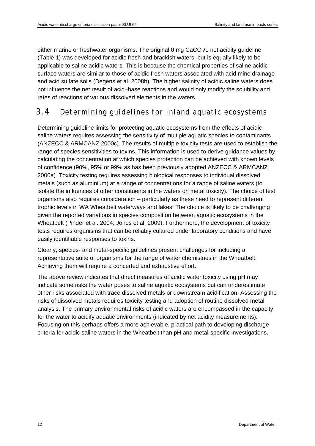either marine or freshwater organisms. The original  $0$  mg CaCO $\sqrt{2}$  net acidity guideline (Table 1) was developed for acidic fresh and brackish waters, but is equally likely to be applicable to saline acidic waters. This is because the chemical properties of saline acidic surface waters are similar to those of acidic fresh waters associated with acid mine drainage and acid sulfate soils (Degens et al. 2008b). The higher salinity of acidic saline waters does not influence the net result of acid–base reactions and would only modify the solubility and rates of reactions of various dissolved elements in the waters.

### *3.4 Determining guidelines for inland aquatic ecosystems*

Determining guideline limits for protecting aquatic ecosystems from the effects of acidic saline waters requires assessing the sensitivity of multiple aquatic species to contaminants (ANZECC & ARMCANZ 2000c). The results of multiple toxicity tests are used to establish the range of species sensitivities to toxins. This information is used to derive guidance values by calculating the concentration at which species protection can be achieved with known levels of confidence (90%, 95% or 99% as has been previously adopted ANZECC & ARMCANZ 2000a). Toxicity testing requires assessing biological responses to individual dissolved metals (such as aluminium) at a range of concentrations for a range of saline waters (to isolate the influences of other constituents in the waters on metal toxicity). The choice of test organisms also requires consideration – particularly as these need to represent different trophic levels in WA Wheatbelt waterways and lakes. The choice is likely to be challenging given the reported variations in species composition between aquatic ecosystems in the Wheatbelt (Pinder et al. 2004; Jones et al. 2009). Furthermore, the development of toxicity tests requires organisms that can be reliably cultured under laboratory conditions and have easily identifiable responses to toxins.

Clearly, species- and metal-specific guidelines present challenges for including a representative suite of organisms for the range of water chemistries in the Wheatbelt. Achieving them will require a concerted and exhaustive effort.

The above review indicates that direct measures of acidic water toxicity using pH may indicate some risks the water poses to saline aquatic ecosystems but can underestimate other risks associated with trace dissolved metals or downstream acidification. Assessing the risks of dissolved metals requires toxicity testing and adoption of routine dissolved metal analysis. The primary environmental risks of acidic waters are encompassed in the capacity for the water to acidify aquatic environments (indicated by net acidity measurements). Focusing on this perhaps offers a more achievable, practical path to developing discharge criteria for acidic saline waters in the Wheatbelt than pH and metal-specific investigations.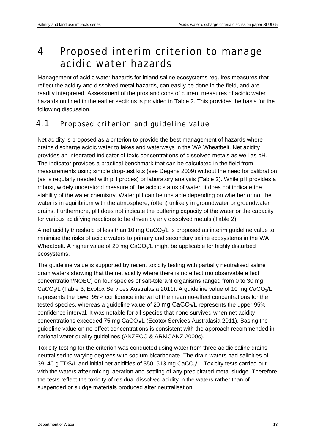## 4 Proposed interim criterion to manage acidic water hazards

Management of acidic water hazards for inland saline ecosystems requires measures that reflect the acidity and dissolved metal hazards, can easily be done in the field, and are readily interpreted. Assessment of the pros and cons of current measures of acidic water hazards outlined in the earlier sections is provided in Table 2. This provides the basis for the following discussion.

### *4.1 Proposed criterion and guideline value*

Net acidity is proposed as a criterion to provide the best management of hazards where drains discharge acidic water to lakes and waterways in the WA Wheatbelt. Net acidity provides an integrated indicator of toxic concentrations of dissolved metals as well as pH. The indicator provides a practical benchmark that can be calculated in the field from measurements using simple drop-test kits (see Degens 2009) without the need for calibration (as is regularly needed with pH probes) or laboratory analysis (Table 2). While pH provides a robust, widely understood measure of the acidic status of water, it does not indicate the stability of the water chemistry. Water pH can be unstable depending on whether or not the water is in equilibrium with the atmosphere, (often) unlikely in groundwater or groundwater drains. Furthermore, pH does not indicate the buffering capacity of the water or the capacity for various acidifying reactions to be driven by any dissolved metals (Table 2).

A net acidity threshold of less than 10 mg CaCO<sub>3</sub>/L is proposed as interim guideline value to minimise the risks of acidic waters to primary and secondary saline ecosystems in the WA Wheatbelt. A higher value of 20 mg CaCO<sub>3</sub>/L might be applicable for highly disturbed ecosystems.

The guideline value is supported by recent toxicity testing with partially neutralised saline drain waters showing that the net acidity where there is no effect (no observable effect concentration/NOEC) on four species of salt-tolerant organisms ranged from 0 to 30 mg CaCO<sub>3</sub>/L (Table 3; Ecotox Services Australasia 2011). A guideline value of 10 mg CaCO<sub>3</sub>/L represents the lower 95% confidence interval of the mean no-effect concentrations for the tested species, whereas a guideline value of 20 mg CaCO<sub>3</sub>/L represents the upper 95% confidence interval. It was notable for all species that none survived when net acidity concentrations exceeded 75 mg CaCO<sub>3</sub>/L (Ecotox Services Australasia 2011). Basing the guideline value on no-effect concentrations is consistent with the approach recommended in national water quality guidelines (ANZECC & ARMCANZ 2000c).

Toxicity testing for the criterion was conducted using water from three acidic saline drains neutralised to varying degrees with sodium bicarbonate. The drain waters had salinities of 39–40 g TDS/L and initial net acidities of 350–513 mg CaCO $<sub>3</sub>$ /L. Toxicity tests carried out</sub> with the waters **after** mixing, aeration and settling of any precipitated metal sludge. Therefore the tests reflect the toxicity of residual dissolved acidity in the waters rather than of suspended or sludge materials produced after neutralisation.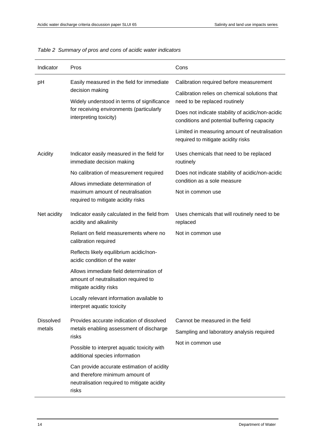| Indicator        | Pros                                                                                                                                  | Cons                                                                                            |
|------------------|---------------------------------------------------------------------------------------------------------------------------------------|-------------------------------------------------------------------------------------------------|
| pH               | Easily measured in the field for immediate                                                                                            | Calibration required before measurement                                                         |
|                  | decision making<br>Widely understood in terms of significance<br>for receiving environments (particularly<br>interpreting toxicity)   | Calibration relies on chemical solutions that<br>need to be replaced routinely                  |
|                  |                                                                                                                                       | Does not indicate stability of acidic/non-acidic<br>conditions and potential buffering capacity |
|                  |                                                                                                                                       | Limited in measuring amount of neutralisation<br>required to mitigate acidity risks             |
| Acidity          | Indicator easily measured in the field for<br>immediate decision making                                                               | Uses chemicals that need to be replaced<br>routinely                                            |
|                  | No calibration of measurement required                                                                                                | Does not indicate stability of acidic/non-acidic<br>condition as a sole measure                 |
|                  | Allows immediate determination of<br>maximum amount of neutralisation                                                                 | Not in common use                                                                               |
|                  | required to mitigate acidity risks                                                                                                    |                                                                                                 |
| Net acidity      | Indicator easily calculated in the field from<br>acidity and alkalinity                                                               | Uses chemicals that will routinely need to be<br>replaced                                       |
|                  | Reliant on field measurements where no<br>calibration required                                                                        | Not in common use                                                                               |
|                  | Reflects likely equilibrium acidic/non-<br>acidic condition of the water                                                              |                                                                                                 |
|                  | Allows immediate field determination of<br>amount of neutralisation required to<br>mitigate acidity risks                             |                                                                                                 |
|                  | Locally relevant information available to<br>interpret aquatic toxicity                                                               |                                                                                                 |
| <b>Dissolved</b> | Provides accurate indication of dissolved                                                                                             | Cannot be measured in the field                                                                 |
| metals           | metals enabling assessment of discharge<br>risks                                                                                      | Sampling and laboratory analysis required                                                       |
|                  | Possible to interpret aquatic toxicity with<br>additional species information                                                         | Not in common use                                                                               |
|                  | Can provide accurate estimation of acidity<br>and therefore minimum amount of<br>neutralisation required to mitigate acidity<br>risks |                                                                                                 |

#### *Table 2 Summary of pros and cons of acidic water indicators*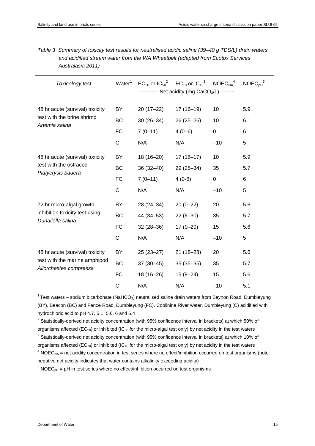| <b>Toxicology test</b>                              | Water <sup>1</sup> |               | $EC_{50}$ or $IC_{50}^2$ $EC_{10}$ or $IC_{10}^3$ NOEC <sub>NA</sub> <sup>4</sup><br>--------- Net acidity (mg CaCO <sub>3</sub> /L) -------- |       | NOEC <sub>DH</sub> <sup>5</sup> |
|-----------------------------------------------------|--------------------|---------------|-----------------------------------------------------------------------------------------------------------------------------------------------|-------|---------------------------------|
| 48 hr acute (survival) toxicity                     | BY                 | $20(17-22)$   | $17(16-19)$                                                                                                                                   | 10    | 5.9                             |
| test with the brine shrimp<br>Artemia salina        | <b>BC</b>          | $30(26-34)$   | $26(25-26)$                                                                                                                                   | 10    | 6.1                             |
|                                                     | <b>FC</b>          | $7(0-11)$     | $4(0-6)$                                                                                                                                      | 0     | 6                               |
|                                                     | C                  | N/A           | N/A                                                                                                                                           | $-10$ | 5                               |
| 48 hr acute (survival) toxicity                     | <b>BY</b>          | $18(16 - 20)$ | $17(16-17)$                                                                                                                                   | 10    | 5.9                             |
| test with the ostracod                              | BC                 | $36(32-40)$   | 29 (28-34)                                                                                                                                    | 35    | 5.7                             |
| Platycrysis bauera                                  | <b>FC</b>          | $7(0-11)$     | $4(0-6)$                                                                                                                                      | 0     | 6                               |
|                                                     | $\mathsf{C}$       | N/A           | N/A                                                                                                                                           | $-10$ | 5                               |
| 72 hr micro-algal growth                            | <b>BY</b>          | $28(24-34)$   | $20(0-22)$                                                                                                                                    | 20    | 5.6                             |
| inhibition toxicity test using<br>Dunaliella salina | <b>BC</b>          | 44 (34-53)    | $22(6-30)$                                                                                                                                    | 35    | 5.7                             |
|                                                     | <b>FC</b>          | $32(28 - 36)$ | $17(0 - 20)$                                                                                                                                  | 15    | 5.6                             |
|                                                     | $\mathsf{C}$       | N/A           | N/A                                                                                                                                           | $-10$ | 5                               |
| 48 hr acute (survival) toxicity                     | BY                 | $25(23 - 27)$ | $21(18-28)$                                                                                                                                   | 20    | 5.6                             |
| test with the marine amphipod                       | <b>BC</b>          | $37(30-45)$   | $35(35-35)$                                                                                                                                   | 35    | 5.7                             |
| Allorchestes compressa                              | <b>FC</b>          | 18 (16-26)    | $15(9-24)$                                                                                                                                    | 15    | 5.6                             |
|                                                     | $\mathsf C$        | N/A           | N/A                                                                                                                                           | $-10$ | 5.1                             |

| Table 3 Summary of toxicity test results for neutralised acidic saline (39–40 g TDS/L) drain waters |
|-----------------------------------------------------------------------------------------------------|
| and acidified stream water from the WA Wheatbelt (adapted from Ecotox Services                      |
| Australasia 2011)                                                                                   |

 $1$  Test waters – sodium bicarbonate (NaHCO<sub>3</sub>) neutralised saline drain waters from Beynon Road, Dumbleyung (BY), Beacon (BC) and Fence Road, Dumbleyung (FC). Coblinine River water, Dumbleyung (C) acidified with hydrochloric acid to pH 4.7, 5.1, 5.6, 6 and 6.4

<sup>2</sup> Statistically-derived net acidity concentration (with 95% confidence interval in brackets) at which 50% of organisms affected (EC<sub>50</sub>) or inhibited (IC<sub>50</sub> for the micro-algal test only) by net acidity in the test waters  $^3$  Statistically-derived net acidity concentration (with 95% confidence interval in brackets) at which 10% of organisms affected (EC<sub>10</sub>) or inhibited (IC<sub>10</sub> for the micro-algal test only) by net acidity in the test waters  $4 NOEC<sub>NA</sub>$  = net acidity concentration in test series where no effect/inhibition occurred on test organisms (note: negative net acidity indicates that water contains alkalinity exceeding acidity)

 $5$  NOEC<sub>PH</sub> = pH in test series where no effect/inhibition occurred on test organisms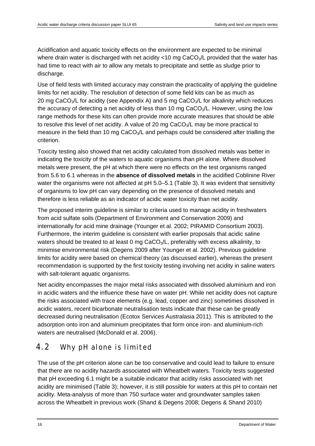Acidification and aquatic toxicity effects on the environment are expected to be minimal where drain water is discharged with net acidity  $\lt 10$  mg CaCO<sub>3</sub>/L provided that the water has had time to react with air to allow any metals to precipitate and settle as sludge prior to discharge.

Use of field tests with limited accuracy may constrain the practicality of applying the guideline limits for net acidity. The resolution of detection of some field kits can be as much as 20 mg CaCO<sub>3</sub>/L for acidity (see Appendix A) and 5 mg CaCO<sub>3</sub>/L for alkalinity which reduces the accuracy of detecting a net acidity of less than 10 mg  $CaCO<sub>3</sub>/L$ . However, using the low range methods for these kits can often provide more accurate measures that should be able to resolve this level of net acidity. A value of 20 mg  $CaCO<sub>3</sub>/L$  may be more practical to measure in the field than 10 mg CaCO<sub>3</sub>/L and perhaps could be considered after trialling the criterion.

Toxicity testing also showed that net acidity calculated from dissolved metals was better in indicating the toxicity of the waters to aquatic organisms than pH alone. Where dissolved metals were present, the pH at which there were no effects on the test organisms ranged from 5.6 to 6.1 whereas in the **absence of dissolved metals** in the acidified Coblinine River water the organisms were not affected at pH 5.0–5.1 (Table 3). It was evident that sensitivity of organisms to low pH can vary depending on the presence of dissolved metals and therefore is less reliable as an indicator of acidic water toxicity than net acidity.

The proposed interim guideline is similar to criteria used to manage acidity in freshwaters from acid sulfate soils (Department of Environment and Conservation 2009) and internationally for acid mine drainage (Younger et al. 2002; PIRAMID Consortium 2003). Furthermore, the interim guideline is consistent with earlier proposals that acidic saline waters should be treated to at least 0 mg  $CaCO<sub>3</sub>/L$ , preferably with excess alkalinity, to minimise environmental risk (Degens 2009 after Younger et al. 2002). Previous guideline limits for acidity were based on chemical theory (as discussed earlier), whereas the present recommendation is supported by the first toxicity testing involving net acidity in saline waters with salt-tolerant aquatic organisms.

Net acidity encompasses the major metal risks associated with dissolved aluminium and iron in acidic waters and the influence these have on water pH. While net acidity does not capture the risks associated with trace elements (e.g. lead, copper and zinc) sometimes dissolved in acidic waters, recent bicarbonate neutralisation tests indicate that these can be greatly decreased during neutralisation (Ecotox Services Australasia 2011). This is attributed to the adsorption onto iron and aluminium precipitates that form once iron- and aluminium-rich waters are neutralised (McDonald et al. 2006).

### *4.2 Why pH alone is limited*

The use of the pH criterion alone can be too conservative and could lead to failure to ensure that there are no acidity hazards associated with Wheatbelt waters. Toxicity tests suggested that pH exceeding 6.1 might be a suitable indicator that acidity risks associated with net acidity are minimised (Table 3); however, it is still possible for waters at this pH to contain net acidity. Meta-analysis of more than 750 surface water and groundwater samples taken across the Wheatbelt in previous work (Shand & Degens 2008; Degens & Shand 2010)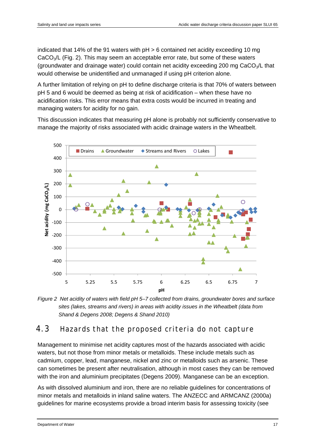indicated that 14% of the 91 waters with pH > 6 contained net acidity exceeding 10 mg CaCO<sub>3</sub>/L (Fig. 2). This may seem an acceptable error rate, but some of these waters (groundwater and drainage water) could contain net acidity exceeding 200 mg  $CaCO<sub>3</sub>/L$  that would otherwise be unidentified and unmanaged if using pH criterion alone.

A further limitation of relying on pH to define discharge criteria is that 70% of waters between pH 5 and 6 would be deemed as being at risk of acidification – when these have no acidification risks. This error means that extra costs would be incurred in treating and managing waters for acidity for no gain.

This discussion indicates that measuring pH alone is probably not sufficiently conservative to manage the majority of risks associated with acidic drainage waters in the Wheatbelt.



*Figure 2 Net acidity of waters with field pH 5–7 collected from drains, groundwater bores and surface sites (lakes, streams and rivers) in areas with acidity issues in the Wheatbelt (data from Shand & Degens 2008; Degens & Shand 2010)* 

### *4.3 Hazards that the proposed criteria do not capture*

Management to minimise net acidity captures most of the hazards associated with acidic waters, but not those from minor metals or metalloids. These include metals such as cadmium, copper, lead, manganese, nickel and zinc or metalloids such as arsenic. These can sometimes be present after neutralisation, although in most cases they can be removed with the iron and aluminium precipitates (Degens 2009). Manganese can be an exception.

As with dissolved aluminium and iron, there are no reliable guidelines for concentrations of minor metals and metalloids in inland saline waters. The ANZECC and ARMCANZ (2000a) guidelines for marine ecosystems provide a broad interim basis for assessing toxicity (see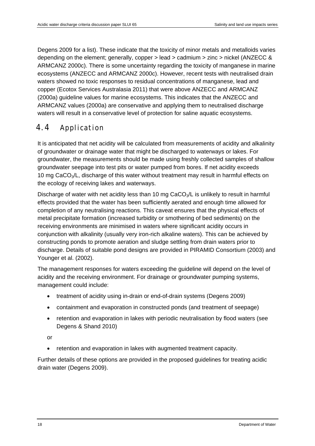Degens 2009 for a list). These indicate that the toxicity of minor metals and metalloids varies depending on the element; generally, copper > lead > cadmium > zinc > nickel (ANZECC & ARMCANZ 2000c). There is some uncertainty regarding the toxicity of manganese in marine ecosystems (ANZECC and ARMCANZ 2000c). However, recent tests with neutralised drain waters showed no toxic responses to residual concentrations of manganese, lead and copper (Ecotox Services Australasia 2011) that were above ANZECC and ARMCANZ (2000a) guideline values for marine ecosystems. This indicates that the ANZECC and ARMCANZ values (2000a) are conservative and applying them to neutralised discharge waters will result in a conservative level of protection for saline aquatic ecosystems.

### *4.4 Application*

It is anticipated that net acidity will be calculated from measurements of acidity and alkalinity of groundwater or drainage water that might be discharged to waterways or lakes. For groundwater, the measurements should be made using freshly collected samples of shallow groundwater seepage into test pits or water pumped from bores. If net acidity exceeds 10 mg CaCO<sub>3</sub>/L, discharge of this water without treatment may result in harmful effects on the ecology of receiving lakes and waterways.

Discharge of water with net acidity less than 10 mg  $CaCO<sub>3</sub>/L$  is unlikely to result in harmful effects provided that the water has been sufficiently aerated and enough time allowed for completion of any neutralising reactions. This caveat ensures that the physical effects of metal precipitate formation (increased turbidity or smothering of bed sediments) on the receiving environments are minimised in waters where significant acidity occurs in conjunction with alkalinity (usually very iron-rich alkaline waters). This can be achieved by constructing ponds to promote aeration and sludge settling from drain waters prior to discharge. Details of suitable pond designs are provided in PIRAMID Consortium (2003) and Younger et al. (2002).

The management responses for waters exceeding the guideline will depend on the level of acidity and the receiving environment. For drainage or groundwater pumping systems, management could include:

- treatment of acidity using in-drain or end-of-drain systems (Degens 2009)
- containment and evaporation in constructed ponds (and treatment of seepage)
- retention and evaporation in lakes with periodic neutralisation by flood waters (see Degens & Shand 2010)

or

retention and evaporation in lakes with augmented treatment capacity.

Further details of these options are provided in the proposed guidelines for treating acidic drain water (Degens 2009).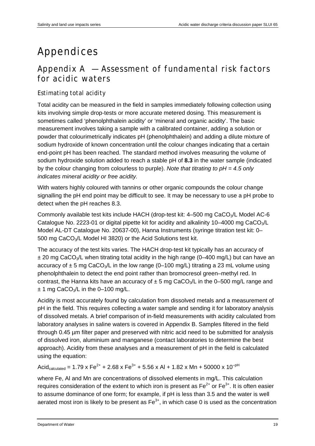# Appendices

### Appendix A — Assessment of fundamental risk factors for acidic waters

#### *Estimating total acidity*

Total acidity can be measured in the field in samples immediately following collection using kits involving simple drop-tests or more accurate metered dosing. This measurement is sometimes called 'phenolphthalein acidity' or 'mineral and organic acidity'. The basic measurement involves taking a sample with a calibrated container, adding a solution or powder that colourimetrically indicates pH (phenolphthalein) and adding a dilute mixture of sodium hydroxide of known concentration until the colour changes indicating that a certain end-point pH has been reached. The standard method involves measuring the volume of sodium hydroxide solution added to reach a stable pH of **8.3** in the water sample (indicated by the colour changing from colourless to purple). *Note that titrating to pH = 4.5 only indicates mineral acidity or free acidity.*

With waters highly coloured with tannins or other organic compounds the colour change signalling the pH end point may be difficult to see. It may be necessary to use a pH probe to detect when the pH reaches 8.3.

Commonly available test kits include HACH (drop-test kit:  $4-500$  mg CaCO<sub>3</sub>/L Model AC-6 Catalogue No. 2223-01 or digital pipette kit for acidity and alkalinity 10–4000 mg CaCO<sub>3</sub>/L Model AL-DT Catalogue No. 20637-00), Hanna Instruments (syringe titration test kit: 0– 500 mg CaCO<sub>3</sub>/L Model HI 3820) or the Acid Solutions test kit.

The accuracy of the test kits varies. The HACH drop-test kit typically has an accuracy of  $\pm$  20 mg CaCO<sub>3</sub>/L when titrating total acidity in the high range (0–400 mg/L) but can have an accuracy of  $\pm$  5 mg CaCO<sub>3</sub>/L in the low range (0–100 mg/L) titrating a 23 mL volume using phenolphthalein to detect the end point rather than bromocresol green–methyl red. In contrast, the Hanna kits have an accuracy of  $\pm$  5 mg CaCO<sub>3</sub>/L in the 0–500 mg/L range and  $\pm$  1 mg CaCO<sub>3</sub>/L in the 0–100 mg/L.

Acidity is most accurately found by calculation from dissolved metals and a measurement of pH in the field. This requires collecting a water sample and sending it for laboratory analysis of dissolved metals. A brief comparison of in-field measurements with acidity calculated from laboratory analyses in saline waters is covered in Appendix B. Samples filtered in the field through 0.45 µm filter paper and preserved with nitric acid need to be submitted for analysis of dissolved iron, aluminium and manganese (contact laboratories to determine the best approach). Acidity from these analyses and a measurement of pH in the field is calculated using the equation:

Acid<sub>calculated</sub> = 1.79 x Fe<sup>2+</sup> + 2.68 x Fe<sup>3+</sup> + 5.56 x Al + 1.82 x Mn + 50000 x 10<sup>-pH</sup>

where Fe, Al and Mn are concentrations of dissolved elements in mg/L. This calculation requires consideration of the extent to which iron is present as  $Fe<sup>2+</sup>$  or  $Fe<sup>3+</sup>$ . It is often easier to assume dominance of one form; for example, if pH is less than 3.5 and the water is well aerated most iron is likely to be present as  $Fe<sup>3+</sup>$ , in which case 0 is used as the concentration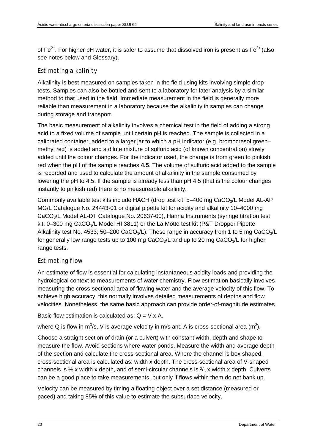of  $Fe^{2+}$ . For higher pH water, it is safer to assume that dissolved iron is present as  $Fe^{2+}$  (also see notes below and Glossary).

#### *Estimating alkalinity*

Alkalinity is best measured on samples taken in the field using kits involving simple droptests. Samples can also be bottled and sent to a laboratory for later analysis by a similar method to that used in the field. Immediate measurement in the field is generally more reliable than measurement in a laboratory because the alkalinity in samples can change during storage and transport.

The basic measurement of alkalinity involves a chemical test in the field of adding a strong acid to a fixed volume of sample until certain pH is reached. The sample is collected in a calibrated container, added to a larger jar to which a pH indicator (e.g. bromocresol green– methyl red) is added and a dilute mixture of sulfuric acid (of known concentration) slowly added until the colour changes. For the indicator used, the change is from green to pinkish red when the pH of the sample reaches **4.5**. The volume of sulfuric acid added to the sample is recorded and used to calculate the amount of alkalinity in the sample consumed by lowering the pH to 4.5. If the sample is already less than pH 4.5 (that is the colour changes instantly to pinkish red) there is no measureable alkalinity.

Commonly available test kits include HACH (drop test kit: 5–400 mg CaCO<sub>3</sub>/L Model AL-AP MG/L Catalogue No. 24443-01 or digital pipette kit for acidity and alkalinity 10–4000 mg CaCO<sub>3</sub>/L Model AL-DT Catalogue No. 20637-00), Hanna Instruments (syringe titration test kit: 0–300 mg CaCO<sub>3</sub>/L Model HI 3811) or the La Motte test kit (P&T Dropper Pipette Alkalinity test No. 4533; 50–200 CaCO<sub>3</sub>/L). These range in accuracy from 1 to 5 mg CaCO<sub>3</sub>/L for generally low range tests up to 100 mg  $CaCO<sub>3</sub>/L$  and up to 20 mg  $CaCO<sub>3</sub>/L$  for higher range tests.

#### *Estimating flow*

An estimate of flow is essential for calculating instantaneous acidity loads and providing the hydrological context to measurements of water chemistry. Flow estimation basically involves measuring the cross-sectional area of flowing water and the average velocity of this flow. To achieve high accuracy, this normally involves detailed measurements of depths and flow velocities. Nonetheless, the same basic approach can provide order-of-magnitude estimates.

Basic flow estimation is calculated as:  $Q = V \times A$ .

where Q is flow in m<sup>3</sup>/s, V is average velocity in m/s and A is cross-sectional area (m<sup>2</sup>).

Choose a straight section of drain (or a culvert) with constant width, depth and shape to measure the flow. Avoid sections where water ponds. Measure the width and average depth of the section and calculate the cross-sectional area. Where the channel is box shaped, cross-sectional area is calculated as: width x depth. The cross-sectional area of V-shaped channels is  $\frac{1}{2}$  x width x depth, and of semi-circular channels is  $\frac{2}{3}$  x width x depth. Culverts can be a good place to take measurements, but only if flows within them do not bank up.

Velocity can be measured by timing a floating object over a set distance (measured or paced) and taking 85% of this value to estimate the subsurface velocity.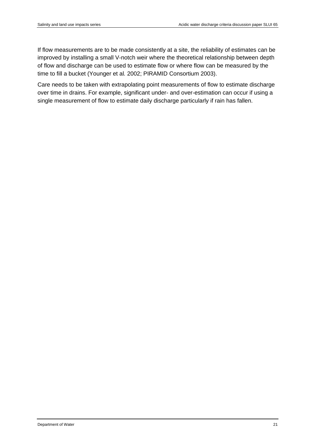If flow measurements are to be made consistently at a site, the reliability of estimates can be improved by installing a small V-notch weir where the theoretical relationship between depth of flow and discharge can be used to estimate flow or where flow can be measured by the time to fill a bucket (Younger et al*.* 2002; PIRAMID Consortium 2003).

Care needs to be taken with extrapolating point measurements of flow to estimate discharge over time in drains. For example, significant under- and over-estimation can occur if using a single measurement of flow to estimate daily discharge particularly if rain has fallen.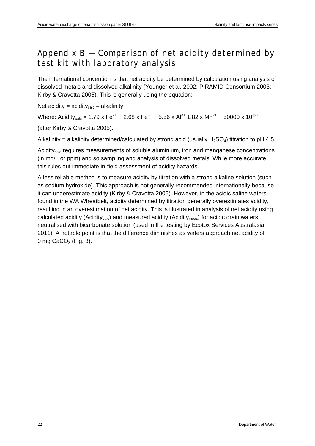### Appendix B — Comparison of net acidity determined by test kit with laboratory analysis

The international convention is that net acidity be determined by calculation using analysis of dissolved metals and dissolved alkalinity (Younger et al. 2002; PIRAMID Consortium 2003; Kirby & Cravotta 2005). This is generally using the equation:

Net acidity =  $\text{acidity}_{\text{calc}} - \text{alkalinity}$ 

Where: Acidity<sub>calc</sub> = 1.79 x Fe<sup>2+</sup> + 2.68 x Fe<sup>3+</sup> + 5.56 x Al<sup>3+</sup> 1.82 x Mn<sup>2+</sup> + 50000 x 10<sup>-pH</sup>

(after Kirby & Cravotta 2005).

Alkalinity = alkalinity determined/calculated by strong acid (usually  $H_2SO_4$ ) titration to pH 4.5.

Acidity<sub>calc</sub> requires measurements of soluble aluminium, iron and manganese concentrations (in mg/L or ppm) and so sampling and analysis of dissolved metals. While more accurate, this rules out immediate in-field assessment of acidity hazards.

A less reliable method is to measure acidity by titration with a strong alkaline solution (such as sodium hydroxide). This approach is not generally recommended internationally because it can underestimate acidity (Kirby & Cravotta 2005). However, in the acidic saline waters found in the WA Wheatbelt, acidity determined by titration generally overestimates acidity, resulting in an overestimation of net acidity. This is illustrated in analysis of net acidity using calculated acidity (Acidity<sub>calc</sub>) and measured acidity (Acidity<sub>meas</sub>) for acidic drain waters neutralised with bicarbonate solution (used in the testing by Ecotox Services Australasia 2011). A notable point is that the difference diminishes as waters approach net acidity of 0 mg CaCO<sub>3</sub> (Fig. 3).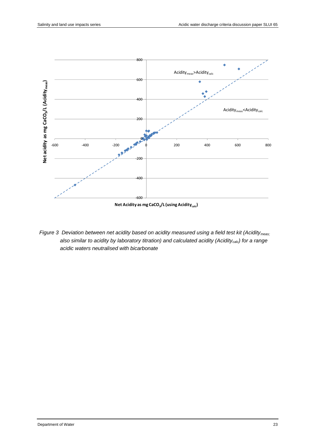

*Figure 3 Deviation between net acidity based on acidity measured using a field test kit (Acidity<sub>meas;</sub> also similar to acidity by laboratory titration) and calculated acidity (Aciditycalc) for a range acidic waters neutralised with bicarbonate*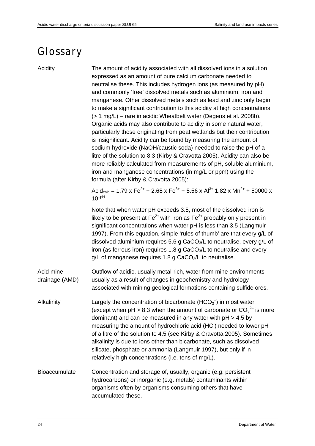## Glossary

| Acidity |  |
|---------|--|
|         |  |

The amount of acidity associated with all dissolved ions in a solution expressed as an amount of pure calcium carbonate needed to neutralise these. This includes hydrogen ions (as measured by pH) and commonly 'free' dissolved metals such as aluminium, iron and manganese. Other dissolved metals such as lead and zinc only begin to make a significant contribution to this acidity at high concentrations (> 1 mg/L) – rare in acidic Wheatbelt water (Degens et al. 2008b). Organic acids may also contribute to acidity in some natural water, particularly those originating from peat wetlands but their contribution is insignificant. Acidity can be found by measuring the amount of sodium hydroxide (NaOH/caustic soda) needed to raise the pH of a litre of the solution to 8.3 (Kirby & Cravotta 2005). Acidity can also be more reliably calculated from measurements of pH, soluble aluminium, iron and manganese concentrations (in mg/L or ppm) using the formula (after Kirby & Cravotta 2005):

Acid<sub>calc</sub> = 1.79 x Fe<sup>2+</sup> + 2.68 x Fe<sup>3+</sup> + 5.56 x Al<sup>3+</sup> 1.82 x Mn<sup>2+</sup> + 50000 x  $10^{-pH}$ 

Note that when water pH exceeds 3.5, most of the dissolved iron is likely to be present at  $Fe^{2+}$  with iron as  $Fe^{3+}$  probably only present in significant concentrations when water pH is less than 3.5 (Langmuir 1997). From this equation, simple 'rules of thumb' are that every g/L of dissolved aluminium requires 5.6 g CaCO $\sqrt{ }$  to neutralise, every g/L of iron (as ferrous iron) requires 1.8 g  $CaCO<sub>3</sub>/L$  to neutralise and every  $g/L$  of manganese requires 1.8 g CaCO<sub>3</sub>/L to neutralise.

- Acid mine drainage (AMD) Outflow of acidic, usually metal-rich, water from mine environments usually as a result of changes in geochemistry and hydrology associated with mining geological formations containing sulfide ores.
- Alkalinity **Largely the concentration of bicarbonate (HCO<sub>3</sub><sup>-</sup>) in most water** (except when pH > 8.3 when the amount of carbonate or  $CO_3^{2-}$  is more dominant) and can be measured in any water with pH > 4.5 by measuring the amount of hydrochloric acid (HCl) needed to lower pH of a litre of the solution to 4.5 (see Kirby & Cravotta 2005). Sometimes alkalinity is due to ions other than bicarbonate, such as dissolved silicate, phosphate or ammonia (Langmuir 1997), but only if in relatively high concentrations (i.e. tens of mg/L).
- Bioaccumulate Concentration and storage of, usually, organic (e.g. persistent hydrocarbons) or inorganic (e.g. metals) contaminants within organisms often by organisms consuming others that have accumulated these.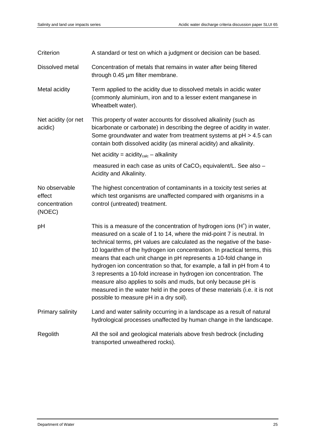| Criterion                                          | A standard or test on which a judgment or decision can be based.                                                                                                                                                                                                                                                                                                                                                                                                                                                                                                                                                                                                                                                       |
|----------------------------------------------------|------------------------------------------------------------------------------------------------------------------------------------------------------------------------------------------------------------------------------------------------------------------------------------------------------------------------------------------------------------------------------------------------------------------------------------------------------------------------------------------------------------------------------------------------------------------------------------------------------------------------------------------------------------------------------------------------------------------------|
| Dissolved metal                                    | Concentration of metals that remains in water after being filtered<br>through 0.45 µm filter membrane.                                                                                                                                                                                                                                                                                                                                                                                                                                                                                                                                                                                                                 |
| Metal acidity                                      | Term applied to the acidity due to dissolved metals in acidic water<br>(commonly aluminium, iron and to a lesser extent manganese in<br>Wheatbelt water).                                                                                                                                                                                                                                                                                                                                                                                                                                                                                                                                                              |
| Net acidity (or net<br>acidic)                     | This property of water accounts for dissolved alkalinity (such as<br>bicarbonate or carbonate) in describing the degree of acidity in water.<br>Some groundwater and water from treatment systems at pH > 4.5 can<br>contain both dissolved acidity (as mineral acidity) and alkalinity.                                                                                                                                                                                                                                                                                                                                                                                                                               |
|                                                    | Net acidity = $\text{acidity}_{\text{calc}}$ – alkalinity                                                                                                                                                                                                                                                                                                                                                                                                                                                                                                                                                                                                                                                              |
|                                                    | measured in each case as units of $CaCO3$ equivalent/L. See also –<br>Acidity and Alkalinity.                                                                                                                                                                                                                                                                                                                                                                                                                                                                                                                                                                                                                          |
| No observable<br>effect<br>concentration<br>(NOEC) | The highest concentration of contaminants in a toxicity test series at<br>which test organisms are unaffected compared with organisms in a<br>control (untreated) treatment.                                                                                                                                                                                                                                                                                                                                                                                                                                                                                                                                           |
| рH                                                 | This is a measure of the concentration of hydrogen ions $(H^+)$ in water,<br>measured on a scale of 1 to 14, where the mid-point 7 is neutral. In<br>technical terms, pH values are calculated as the negative of the base-<br>10 logarithm of the hydrogen ion concentration. In practical terms, this<br>means that each unit change in pH represents a 10-fold change in<br>hydrogen ion concentration so that, for example, a fall in pH from 4 to<br>3 represents a 10-fold increase in hydrogen ion concentration. The<br>measure also applies to soils and muds, but only because pH is<br>measured in the water held in the pores of these materials (i.e. it is not<br>possible to measure pH in a dry soil). |
| Primary salinity                                   | Land and water salinity occurring in a landscape as a result of natural<br>hydrological processes unaffected by human change in the landscape.                                                                                                                                                                                                                                                                                                                                                                                                                                                                                                                                                                         |
| Regolith                                           | All the soil and geological materials above fresh bedrock (including<br>transported unweathered rocks).                                                                                                                                                                                                                                                                                                                                                                                                                                                                                                                                                                                                                |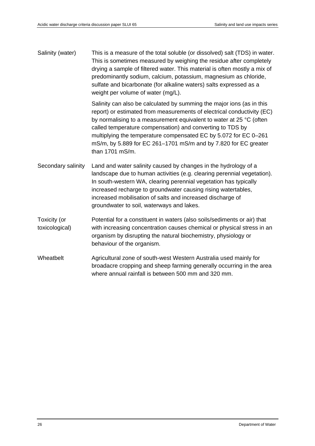| Salinity (water)               | This is a measure of the total soluble (or dissolved) salt (TDS) in water.<br>This is sometimes measured by weighing the residue after completely<br>drying a sample of filtered water. This material is often mostly a mix of<br>predominantly sodium, calcium, potassium, magnesium as chloride,<br>sulfate and bicarbonate (for alkaline waters) salts expressed as a<br>weight per volume of water (mg/L).                                |
|--------------------------------|-----------------------------------------------------------------------------------------------------------------------------------------------------------------------------------------------------------------------------------------------------------------------------------------------------------------------------------------------------------------------------------------------------------------------------------------------|
|                                | Salinity can also be calculated by summing the major ions (as in this<br>report) or estimated from measurements of electrical conductivity (EC)<br>by normalising to a measurement equivalent to water at 25 °C (often<br>called temperature compensation) and converting to TDS by<br>multiplying the temperature compensated EC by 5.072 for EC 0-261<br>mS/m, by 5.889 for EC 261-1701 mS/m and by 7.820 for EC greater<br>than 1701 mS/m. |
| Secondary salinity             | Land and water salinity caused by changes in the hydrology of a<br>landscape due to human activities (e.g. clearing perennial vegetation).<br>In south-western WA, clearing perennial vegetation has typically<br>increased recharge to groundwater causing rising watertables,<br>increased mobilisation of salts and increased discharge of<br>groundwater to soil, waterways and lakes.                                                    |
| Toxicity (or<br>toxicological) | Potential for a constituent in waters (also soils/sediments or air) that<br>with increasing concentration causes chemical or physical stress in an<br>organism by disrupting the natural biochemistry, physiology or<br>behaviour of the organism.                                                                                                                                                                                            |
| Wheatbelt                      | Agricultural zone of south-west Western Australia used mainly for<br>broadacre cropping and sheep farming generally occurring in the area<br>where annual rainfall is between 500 mm and 320 mm.                                                                                                                                                                                                                                              |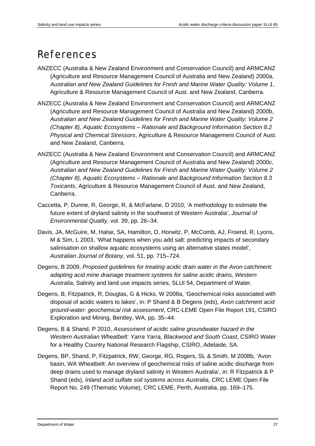# References

- ANZECC (Australia & New Zealand Environment and Conservation Council) and ARMCANZ (Agriculture and Resource Management Council of Australia and New Zealand) 2000a, *Australian and New Zealand Guidelines for Fresh and Marine Water Quality: Volume 1*, Agriculture & Resource Management Council of Aust. and New Zealand, Canberra.
- ANZECC (Australia & New Zealand Environment and Conservation Council) and ARMCANZ (Agriculture and Resource Management Council of Australia and New Zealand) 2000b, *Australian and New Zealand Guidelines for Fresh and Marine Water Quality: Volume 2 (Chapter 8), Aquatic Ecosystems – Rationale and Background Information Section 8.2 Physical and Chemical Stressors*, Agriculture & Resource Management Council of Aust. and New Zealand, Canberra.
- ANZECC (Australia & New Zealand Environment and Conservation Council) and ARMCANZ (Agriculture and Resource Management Council of Australia and New Zealand) 2000c, *Australian and New Zealand Guidelines for Fresh and Marine Water Quality: Volume 2 (Chapter 8), Aquatic Ecosystems – Rationale and Background Information Section 8.3 Toxicants*, Agriculture & Resource Management Council of Aust. and New Zealand, Canberra.
- Caccetta, P, Dunne, R, George, R, & McFarlane, D 2010, 'A methodology to estimate the future extent of dryland salinity in the southwest of Western Australia', *Journal of Environmental Quality,* vol. 39, pp. 26–34.
- Davis, JA, McGuire, M, Halse, SA, Hamilton, D, Horwitz, P, McComb, AJ, Froend, R, Lyons, M & Sim, L 2003, 'What happens when you add salt: predicting impacts of secondary salinisation on shallow aquatic ecosystems using an alternative states model', *Australian Journal of Botany*, vol. 51, pp. 715–724.
- Degens, B 2009, *Proposed guidelines for treating acidic drain water in the Avon catchment: adapting acid mine drainage treatment systems for saline acidic drains, Western Australia*, Salinity and land use impacts series, SLUI 54, Department of Water.
- Degens, B, Fitzpatrick, R, Douglas, G & Hicks, W 2008a, 'Geochemical risks associated with disposal of acidic waters to lakes', in: P Shand & B Degens (eds), *Avon catchment acid ground-water: geochemical risk assessment*, CRC-LEME Open File Report 191, CSIRO Exploration and Mining, Bentley, WA, pp. 35–44.
- Degens, B & Shand, P 2010, *Assessment of acidic saline groundwater hazard in the Western Australian Wheatbelt: Yarra Yarra, Blackwood and South Coast*, CSIRO Water for a Healthy Country National Research Flagship, CSIRO, Adelaide, SA.
- Degens, BP, Shand, P, Fitzpatrick, RW, George, RG, Rogers, SL & Smith, M 2008b, 'Avon basin, WA Wheatbelt: An overview of geochemical risks of saline acidic discharge from deep drains used to manage dryland salinity in Western Australia', in: R Fitzpatrick & P Shand (eds), *Inland acid sulfate soil systems across Australia,* CRC LEME Open File Report No. 249 (Thematic Volume), CRC LEME, Perth, Australia, pp. 169–175.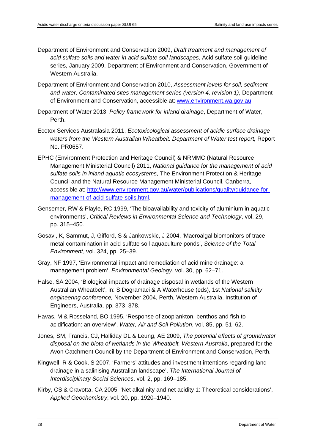- Department of Environment and Conservation 2009, *Draft treatment and management of acid sulfate soils and water in acid sulfate soil landscapes*, Acid sulfate soil guideline series, January 2009, Department of Environment and Conservation, Government of Western Australia.
- Department of Environment and Conservation 2010, *Assessment levels for soil, sediment and water, Contaminated sites management series (version 4, revision 1)*, Department of Environment and Conservation, accessible at: www.environment.wa.gov.au.
- Department of Water 2013, *Policy framework for inland drainage*, Department of Water, Perth.
- Ecotox Services Australasia 2011, *Ecotoxicological assessment of acidic surface drainage waters from the Western Australian Wheatbelt: Department of Water test report,* Report No. PR0657.
- EPHC (Environment Protection and Heritage Council) & NRMMC (Natural Resource Management Ministerial Council) 2011, *National guidance for the management of acid sulfate soils in inland aquatic ecosystems*, The Environment Protection & Heritage Council and the Natural Resource Management Ministerial Council, Canberra, accessible at: http://www.environment.gov.au/water/publications/quality/guidance-formanagement-of-acid-sulfate-soils.html.
- Gensemer, RW & Playle, RC 1999, 'The bioavailability and toxicity of aluminium in aquatic environments', *Critical Reviews in Environmental Science and Technology*, vol. 29, pp. 315–450.
- Gosavi, K, Sammut, J, Gifford, S & Jankowskic, J 2004, 'Macroalgal biomonitors of trace metal contamination in acid sulfate soil aquaculture ponds', *Science of the Total Environment*, vol. 324, pp. 25–39.
- Gray, NF 1997, 'Environmental impact and remediation of acid mine drainage: a management problem', *Environmental Geology*, vol. 30, pp. 62–71.
- Halse, SA 2004, 'Biological impacts of drainage disposal in wetlands of the Western Australian Wheatbelt', in: S Dogramaci & A Waterhouse (eds), 1st *National salinity engineering conference,* November 2004, Perth, Western Australia, Institution of Engineers, Australia, pp. 373–378.
- Havas, M & Rosseland, BO 1995, 'Response of zooplankton, benthos and fish to acidification: an overview', *Water, Air and Soil Pollution*, vol. 85, pp. 51–62.
- Jones, SM, Francis, CJ, Halliday DL & Leung, AE 2009, *The potential effects of groundwater disposal on the biota of wetlands in the Wheatbelt, Western Australia*, prepared for the Avon Catchment Council by the Department of Environment and Conservation, Perth.
- Kingwell, R & Cook, S 2007, 'Farmers' attitudes and investment intentions regarding land drainage in a salinising Australian landscape', *The International Journal of Interdisciplinary Social Sciences*, vol. 2, pp. 169–185.
- Kirby, CS & Cravotta, CA 2005, 'Net alkalinity and net acidity 1: Theoretical considerations', *Applied Geochemistry*, vol. 20, pp. 1920–1940.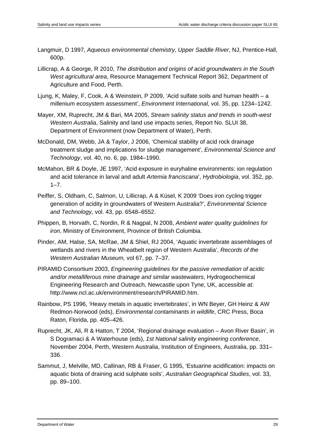- Langmuir, D 1997, *Aqueous environmental chemistry, Upper Saddle River*, NJ, Prentice-Hall, 600p.
- Lillicrap, A & George, R 2010, *The distribution and origins of acid groundwaters in the South West agricultural area*, Resource Management Technical Report 362, Department of Agriculture and Food, Perth.
- Ljung, K, Maley, F, Cook, A & Weinstein, P 2009, 'Acid sulfate soils and human health a millenium ecosystem assessment', *Environment International*, vol. 35, pp. 1234–1242.
- Mayer, XM, Ruprecht, JM & Bari, MA 2005, *Stream salinity status and trends in south-west Western Australia*, Salinity and land use impacts series, Report No. SLUI 38, Department of Environment (now Department of Water), Perth.
- McDonald, DM, Webb, JA & Taylor, J 2006, 'Chemical stability of acid rock drainage treatment sludge and implications for sludge management', *Environmental Science and Technology*, vol. 40, no. 6, pp. 1984–1990.
- McMahon, BR & Doyle, JE 1997, 'Acid exposure in euryhaline environments: ion regulation and acid tolerance in larval and adult *Artemia franciscana*', *Hydrobiologia*, vol. 352, pp.  $1 - 7$ .
- Peiffer, S, Oldham, C, Salmon, U, Lillicrap, A & Küsel, K 2009 'Does iron cycling trigger generation of acidity in groundwaters of Western Australia?', *Environmental Science and Technology,* vol. 43, pp. 6548–6552.
- Phippen, B, Horvath, C, Nordin, R & Nagpal, N 2008, *Ambient water quality guidelines for iron*, Ministry of Environment, Province of British Columbia.
- Pinder, AM, Halse, SA, McRae, JM & Shiel, RJ 2004, 'Aquatic invertebrate assemblages of wetlands and rivers in the Wheatbelt region of Western Australia', *Records of the Western Australian Museum,* vol 67, pp. 7–37.
- PIRAMID Consortium 2003, *Engineering guidelines for the passive remediation of acidic and/or metalliferous mine drainage and similar wastewaters*, Hydrogeochemical Engineering Research and Outreach, Newcastle upon Tyne, UK, accessible at: http://www.ncl.ac.uk/environment/research/PIRAMID.htm.
- Rainbow, PS 1996, 'Heavy metals in aquatic invertebrates', in WN Beyer, GH Heinz & AW Redmon-Norwood (eds), *Environmental contaminants in wildlife*, CRC Press, Boca Raton, Florida, pp. 405–426.
- Ruprecht, JK, Ali, R & Hatton, T 2004, 'Regional drainage evaluation Avon River Basin', in S Dogramaci & A Waterhouse (eds), *1st National salinity engineering conference*, November 2004, Perth, Western Australia, Institution of Engineers, Australia, pp. 331– 336.
- Sammut, J, Melville, MD, Callinan, RB & Fraser, G 1995, 'Estuarine acidification: impacts on aquatic biota of draining acid sulphate soils', *Australian Geographical Studies*, vol. 33, pp. 89–100.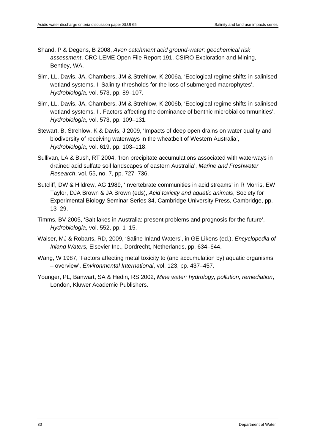- Shand, P & Degens, B 2008, *Avon catchment acid ground-water: geochemical risk assessment*, CRC-LEME Open File Report 191, CSIRO Exploration and Mining, Bentley, WA.
- Sim, LL, Davis, JA, Chambers, JM & Strehlow, K 2006a, 'Ecological regime shifts in salinised wetland systems. I. Salinity thresholds for the loss of submerged macrophytes', *Hydrobiologia,* vol. 573, pp. 89–107.
- Sim, LL, Davis, JA, Chambers, JM & Strehlow, K 2006b, 'Ecological regime shifts in salinised wetland systems. II. Factors affecting the dominance of benthic microbial communities', *Hydrobiologia*, vol. 573, pp. 109–131.
- Stewart, B, Strehlow, K & Davis, J 2009, 'Impacts of deep open drains on water quality and biodiversity of receiving waterways in the wheatbelt of Western Australia', *Hydrobiologia*, vol. 619, pp. 103–118.
- Sullivan, LA & Bush, RT 2004, 'Iron precipitate accumulations associated with waterways in drained acid sulfate soil landscapes of eastern Australia', *Marine and Freshwater Research*, vol. 55, no. 7, pp. 727–736.
- Sutcliff, DW & Hildrew, AG 1989, 'Invertebrate communities in acid streams' in R Morris, EW Taylor, DJA Brown & JA Brown (eds), *Acid toxicity and aquatic animals*, Society for Experimental Biology Seminar Series 34, Cambridge University Press, Cambridge, pp. 13–29.
- Timms, BV 2005, 'Salt lakes in Australia: present problems and prognosis for the future', *Hydrobiologia*, vol. 552, pp. 1–15.
- Waiser, MJ & Robarts, RD, 2009, 'Saline Inland Waters', in GE Likens (ed.), *Encyclopedia of Inland Waters,* Elsevier Inc., Dordrecht, Netherlands, pp. 634–644.
- Wang, W 1987, 'Factors affecting metal toxicity to (and accumulation by) aquatic organisms – overview', *Environmental International*, vol. 123, pp. 437–457.
- Younger, PL, Banwart, SA & Hedin, RS 2002, *Mine water: hydrology, pollution, remediation*, London, Kluwer Academic Publishers.